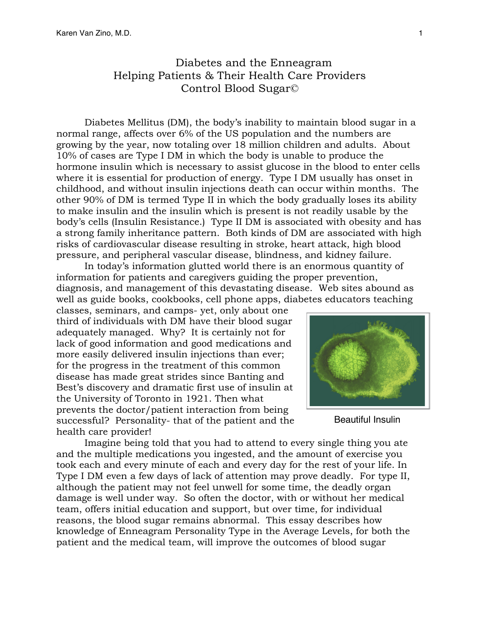## Diabetes and the Enneagram Helping Patients & Their Health Care Providers Control Blood Sugar©

Diabetes Mellitus (DM), the body's inability to maintain blood sugar in a normal range, affects over 6% of the US population and the numbers are growing by the year, now totaling over 18 million children and adults. About 10% of cases are Type I DM in which the body is unable to produce the hormone insulin which is necessary to assist glucose in the blood to enter cells where it is essential for production of energy. Type I DM usually has onset in childhood, and without insulin injections death can occur within months. The other 90% of DM is termed Type II in which the body gradually loses its ability to make insulin and the insulin which is present is not readily usable by the body's cells (Insulin Resistance.) Type II DM is associated with obesity and has a strong family inheritance pattern. Both kinds of DM are associated with high risks of cardiovascular disease resulting in stroke, heart attack, high blood pressure, and peripheral vascular disease, blindness, and kidney failure.

In today's information glutted world there is an enormous quantity of information for patients and caregivers guiding the proper prevention, diagnosis, and management of this devastating disease. Web sites abound as well as guide books, cookbooks, cell phone apps, diabetes educators teaching

classes, seminars, and camps- yet, only about one third of individuals with DM have their blood sugar adequately managed. Why? It is certainly not for lack of good information and good medications and more easily delivered insulin injections than ever; for the progress in the treatment of this common disease has made great strides since Banting and Best's discovery and dramatic first use of insulin at the University of Toronto in 1921. Then what prevents the doctor/patient interaction from being successful? Personality- that of the patient and the health care provider!



Beautiful Insulin

Imagine being told that you had to attend to every single thing you ate and the multiple medications you ingested, and the amount of exercise you took each and every minute of each and every day for the rest of your life. In Type I DM even a few days of lack of attention may prove deadly. For type II, although the patient may not feel unwell for some time, the deadly organ damage is well under way. So often the doctor, with or without her medical team, offers initial education and support, but over time, for individual reasons, the blood sugar remains abnormal. This essay describes how knowledge of Enneagram Personality Type in the Average Levels, for both the patient and the medical team, will improve the outcomes of blood sugar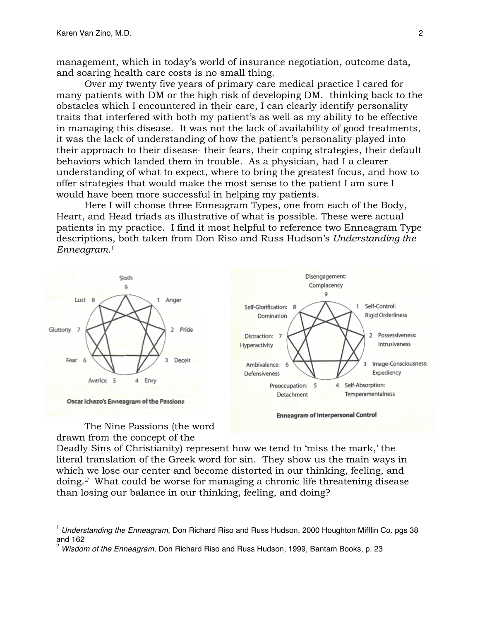management, which in today's world of insurance negotiation, outcome data, and soaring health care costs is no small thing.

Over my twenty five years of primary care medical practice I cared for many patients with DM or the high risk of developing DM. thinking back to the obstacles which I encountered in their care, I can clearly identify personality traits that interfered with both my patient's as well as my ability to be effective in managing this disease. It was not the lack of availability of good treatments, it was the lack of understanding of how the patient's personality played into their approach to their disease- their fears, their coping strategies, their default behaviors which landed them in trouble. As a physician, had I a clearer understanding of what to expect, where to bring the greatest focus, and how to offer strategies that would make the most sense to the patient I am sure I would have been more successful in helping my patients.

Here I will choose three Enneagram Types, one from each of the Body, Heart, and Head triads as illustrative of what is possible. These were actual patients in my practice. I find it most helpful to reference two Enneagram Type descriptions, both taken from Don Riso and Russ Hudson's *Understanding the Enneagram.*<sup>1</sup>



The Nine Passions (the word drawn from the concept of the

Deadly Sins of Christianity) represent how we tend to 'miss the mark,' the literal translation of the Greek word for sin. They show us the main ways in which we lose our center and become distorted in our thinking, feeling, and doing.*2* What could be worse for managing a chronic life threatening disease than losing our balance in our thinking, feeling, and doing?

Self-Control:

 $\overline{2}$ 

**Rigid Orderliness** 

Expediency

Possessiveness:

Image-Consciousness:

Intrusiveness

 $\mathbf{1}$ 

<sup>1</sup> *Understanding the Enneagram,* Don Richard Riso and Russ Hudson, <sup>2000</sup> Houghton Mifflin Co. pgs <sup>38</sup> and 162

<sup>2</sup> *Wisdom of the Enneagram*, Don Richard Riso and Russ Hudson, 1999, Bantam Books, p. 23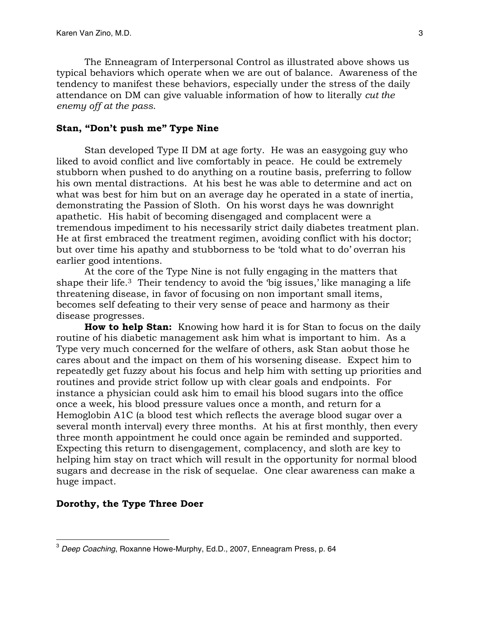The Enneagram of Interpersonal Control as illustrated above shows us typical behaviors which operate when we are out of balance. Awareness of the tendency to manifest these behaviors, especially under the stress of the daily attendance on DM can give valuable information of how to literally *cut the enemy off at the pass*.

## **Stan, "Don't push me" Type Nine**

Stan developed Type II DM at age forty. He was an easygoing guy who liked to avoid conflict and live comfortably in peace. He could be extremely stubborn when pushed to do anything on a routine basis, preferring to follow his own mental distractions. At his best he was able to determine and act on what was best for him but on an average day he operated in a state of inertia, demonstrating the Passion of Sloth. On his worst days he was downright apathetic. His habit of becoming disengaged and complacent were a tremendous impediment to his necessarily strict daily diabetes treatment plan. He at first embraced the treatment regimen, avoiding conflict with his doctor; but over time his apathy and stubborness to be 'told what to do' overran his earlier good intentions.

At the core of the Type Nine is not fully engaging in the matters that shape their life.<sup>3</sup> Their tendency to avoid the 'big issues,' like managing a life threatening disease, in favor of focusing on non important small items, becomes self defeating to their very sense of peace and harmony as their disease progresses.

**How to help Stan:** Knowing how hard it is for Stan to focus on the daily routine of his diabetic management ask him what is important to him. As a Type very much concerned for the welfare of others, ask Stan aobut those he cares about and the impact on them of his worsening disease. Expect him to repeatedly get fuzzy about his focus and help him with setting up priorities and routines and provide strict follow up with clear goals and endpoints. For instance a physician could ask him to email his blood sugars into the office once a week, his blood pressure values once a month, and return for a Hemoglobin A1C (a blood test which reflects the average blood sugar over a several month interval) every three months. At his at first monthly, then every three month appointment he could once again be reminded and supported. Expecting this return to disengagement, complacency, and sloth are key to helping him stay on tract which will result in the opportunity for normal blood sugars and decrease in the risk of sequelae. One clear awareness can make a huge impact.

## **Dorothy, the Type Three Doer**

<sup>3</sup> *Deep Coaching*, Roxanne Howe-Murphy, Ed.D., 2007, Enneagram Press, p. <sup>64</sup>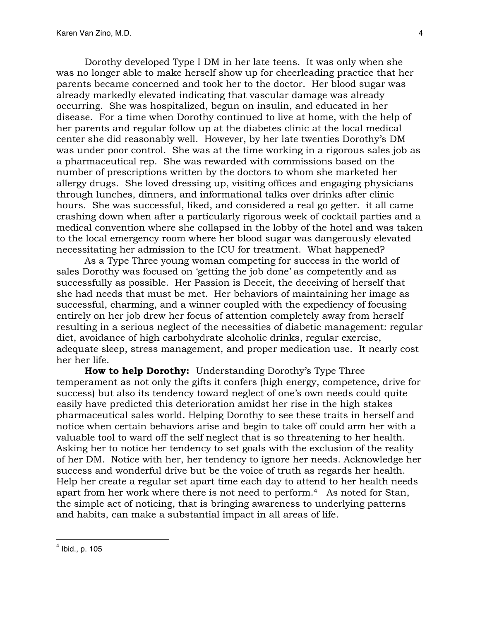Dorothy developed Type I DM in her late teens. It was only when she was no longer able to make herself show up for cheerleading practice that her parents became concerned and took her to the doctor. Her blood sugar was already markedly elevated indicating that vascular damage was already occurring. She was hospitalized, begun on insulin, and educated in her disease. For a time when Dorothy continued to live at home, with the help of her parents and regular follow up at the diabetes clinic at the local medical center she did reasonably well. However, by her late twenties Dorothy's DM was under poor control. She was at the time working in a rigorous sales job as a pharmaceutical rep. She was rewarded with commissions based on the number of prescriptions written by the doctors to whom she marketed her allergy drugs. She loved dressing up, visiting offices and engaging physicians through lunches, dinners, and informational talks over drinks after clinic hours. She was successful, liked, and considered a real go getter. it all came crashing down when after a particularly rigorous week of cocktail parties and a medical convention where she collapsed in the lobby of the hotel and was taken to the local emergency room where her blood sugar was dangerously elevated necessitating her admission to the ICU for treatment. What happened?

As a Type Three young woman competing for success in the world of sales Dorothy was focused on 'getting the job done' as competently and as successfully as possible. Her Passion is Deceit, the deceiving of herself that she had needs that must be met. Her behaviors of maintaining her image as successful, charming, and a winner coupled with the expediency of focusing entirely on her job drew her focus of attention completely away from herself resulting in a serious neglect of the necessities of diabetic management: regular diet, avoidance of high carbohydrate alcoholic drinks, regular exercise, adequate sleep, stress management, and proper medication use. It nearly cost her her life.

**How to help Dorothy:** Understanding Dorothy's Type Three temperament as not only the gifts it confers (high energy, competence, drive for success) but also its tendency toward neglect of one's own needs could quite easily have predicted this deterioration amidst her rise in the high stakes pharmaceutical sales world. Helping Dorothy to see these traits in herself and notice when certain behaviors arise and begin to take off could arm her with a valuable tool to ward off the self neglect that is so threatening to her health. Asking her to notice her tendency to set goals with the exclusion of the reality of her DM. Notice with her, her tendency to ignore her needs. Acknowledge her success and wonderful drive but be the voice of truth as regards her health. Help her create a regular set apart time each day to attend to her health needs apart from her work where there is not need to perform.4 As noted for Stan, the simple act of noticing, that is bringing awareness to underlying patterns and habits, can make a substantial impact in all areas of life.

 $<sup>4</sup>$  Ibid., p. 105</sup>